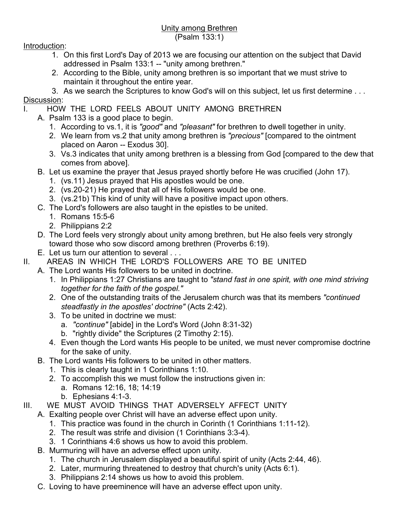## Unity among Brethren (Psalm 133:1)

Introduction:

- 1. On this first Lord's Day of 2013 we are focusing our attention on the subject that David addressed in Psalm 133:1 -- "unity among brethren."
- 2. According to the Bible, unity among brethren is so important that we must strive to maintain it throughout the entire year.

3. As we search the Scriptures to know God's will on this subject, let us first determine . . . Discussion:

- HOW THE LORD FEELS ABOUT UNITY AMONG BRETHREN
	- A. Psalm 133 is a good place to begin.
		- 1. According to vs.1, it is *"good"* and *"pleasant"* for brethren to dwell together in unity.
		- 2. We learn from vs.2 that unity among brethren is *"precious"* [compared to the ointment placed on Aaron -- Exodus 30].
		- 3. Vs.3 indicates that unity among brethren is a blessing from God [compared to the dew that comes from above].
	- B. Let us examine the prayer that Jesus prayed shortly before He was crucified (John 17).
		- 1. (vs.11) Jesus prayed that His apostles would be one.
		- 2. (vs.20-21) He prayed that all of His followers would be one.
		- 3. (vs.21b) This kind of unity will have a positive impact upon others.
	- C. The Lord's followers are also taught in the epistles to be united.
		- 1. Romans 15:5-6
		- 2. Philippians 2:2
	- D. The Lord feels very strongly about unity among brethren, but He also feels very strongly toward those who sow discord among brethren (Proverbs 6:19).
	- E. Let us turn our attention to several . . .
- II. AREAS IN WHICH THE LORD'S FOLLOWERS ARE TO BE UNITED
	- A. The Lord wants His followers to be united in doctrine.
		- 1. In Philippians 1:27 Christians are taught to *"stand fast in one spirit, with one mind striving together for the faith of the gospel."*
		- 2. One of the outstanding traits of the Jerusalem church was that its members *"continued steadfastly in the apostles' doctrine"* (Acts 2:42).
		- 3. To be united in doctrine we must:
			- a. *"continue"* [abide] in the Lord's Word (John 8:31-32)
			- b. "rightly divide" the Scriptures (2 Timothy 2:15).
		- 4. Even though the Lord wants His people to be united, we must never compromise doctrine for the sake of unity.
		- B. The Lord wants His followers to be united in other matters.
			- 1. This is clearly taught in 1 Corinthians 1:10.
			- 2. To accomplish this we must follow the instructions given in:
				- a. Romans 12:16, 18; 14:19
				- b. Ephesians 4:1-3.
- III. WE MUST AVOID THINGS THAT ADVERSELY AFFECT UNITY
	- A. Exalting people over Christ will have an adverse effect upon unity.
		- 1. This practice was found in the church in Corinth (1 Corinthians 1:11-12).
		- 2. The result was strife and division (1 Corinthians 3:3-4).
		- 3. 1 Corinthians 4:6 shows us how to avoid this problem.
	- B. Murmuring will have an adverse effect upon unity.
		- 1. The church in Jerusalem displayed a beautiful spirit of unity (Acts 2:44, 46).
		- 2. Later, murmuring threatened to destroy that church's unity (Acts 6:1).
		- 3. Philippians 2:14 shows us how to avoid this problem.
	- C. Loving to have preeminence will have an adverse effect upon unity.